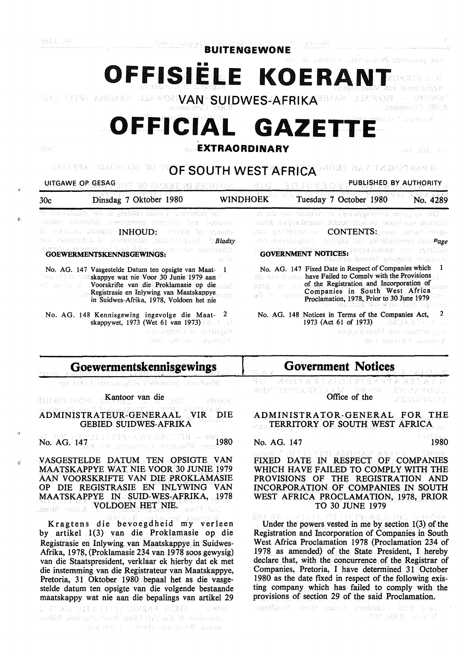nadonal

**BUITENGEWONE** 

OFFISIËLE KOERANT

**VAN SUILLE AN DER VAN SUIDWES-AFRIKA<sup>8DAAR</sup> JUAWOR** R.100. Commonwee

# **OFFICIAL GAZETTE**

 $\mathbf{Q}$ 

*!:i,* 

·;

### **EXTRAORDINARY**

医血红 的第三名

T OF ECONOMIC APPARA **OF SOUTH WEST AFRICA** MOXE MAY THEMSTRASSO

UITGAWE OP GESAG REAL ROL BIZ AUTHORITY BEDITION.

30c Dinsdag 7 Oktober 1980 WINDHOEK Tuesday 7 October 1980 No. 4289 ol on tan basdier in sydwygiana sbooglov he folkwang adalah sebagai uni régistr 고달 oistrasie van binne- en buitslandse maatskappye, defonaternal sciencist companies defondes bases REV REPORTED CONTENTS: JESS LOPAN TAGE io prestusti listigao INHOUD: Passea lo oggano bat *Painsgates to normosaib moinstragate*l Ir**Bladsy** *Page Germany* and a page of the page of the control of the control of the control of the control of the control of the control of the control of the control of the control of the control of the control of the control of t **GOVERNMENT NOTICES:** "Clarkateant CKY againing merket i nei haard **GOEWERMENTSKENNISGEWINGS:**  ani No. AG. 147 Fixed Date in Respect of Companies which 1 No. AG. 147 Vasgestelde Datum ten opsigte van Maat- 1 **have Failed to Comply with the Provisions** skappye wat nie Voor 30 Junie 1979 aan nos are of the Registration and Incorporation of voorskrifte van die Proklamasie op die pou Registrasie en Inlywing van Maatskappye Companies in South West Africa in Suidwes-Afrika, 1978, Voldoen het nie Proclamation, 1978, Prior to 30 June 1979 No. AG. 148 Notices in Terms of the Companies Act, 2 No. AG. 148 Kennisgewing ingevolge die Maat- 2 1973 (Act 61 of 1973) **220 ANY 200** skappywet, 1973 (Wet 61 van 1973) Registrar of Comparus.

dvdaastaan van Maalskapver 10893 India (O. C. Johnbrev

## **Goewermentskennisgewings**

0801 msdcrof) " Stouthmil4

Windhock. Secondary (Chemosis) 4 (Ab) npv.

Kantoor van die WORLDWEE msob 88008

#### ADMINISTRATEUR-GENERAAL VIR DIE GEBIED SUIDWES-AFRIKA

No. AG. 1470111 (YTREAV/2 238:11758 - 889.080

VASGESTELDE DATUM TEN OPSIGTE VAN MAATSKAPPYE WAT NIE VOOR 30 JUNIE 1979 AAN VOORSKRIFTE VAN DIE PROKLAMASIE OP DIE REGISTRASIE EN INLYWING VAN MAATSKAPPYE IN SUID-WES-AFRIKA, 1978 VOLDOEN HET NIE. k diser Street. west3 har

Kragtens die bevoegdheid my verleen by artikel 1(3) van die Proklamasie op die Registrasie en Inlywing van Maatskappye in Suidwes-Afrika, 1978, (Proklamasie 234 van 1978 soos gewysig) van die Staatspresident, verklaar ek hierby dat ek met die instemming van die Registrateur van Maatskappye, Pretoria, 31 Oktober 1980 bepaal het as die vasgestelde datum ten opsigte van die volgende bestaande maatskappy wat nie aan die bepalings van artikel 29

STERN FABRIC (FIT) LTD: 5/8 C. J. **WWW** Bashar & K.a. As Voct Swabsharbou. Bilow  $\sim$  . We design the Hand is  $\approx$ 

## **Government Notices**

KOITA RECISI T A F **WAY TYPEA XET** 23174242600 Office of the 

ADMINISTRATOR-GENERAL FOR THE TERRITORY OF SOUTH WEST AFRICA

No. AG. 147 1980

FIXED DATE IN RESPECT OF COMPANIES WHICH HAVE FAILED TO COMPLY WITH THE PROVISIONS OF THE REGISTRATION AND INCORPORATION OF COMPANIES IN SOUTH WEST AFRICA PROCLAMATION, 1978, PRIOR TO 30 JUNE 1979

 $E(X|X)$  is a section of the powers vested in me by section 1(3) of the Registration and Incorporation of Companies in South West Africa Proclamation 1978 (Proclamation 234 of 1978 as amended) of the State President, I hereby declare that, with the concurrence of the Registrar of Companies, Pretoria, I have determined 31 October 1980 as the date fixed in respect of the following existing company which has failed to comply with the provisions of section 29 of the said Proclamation.

software thanbers. Koiser from which 47-Policy X.50N 00A.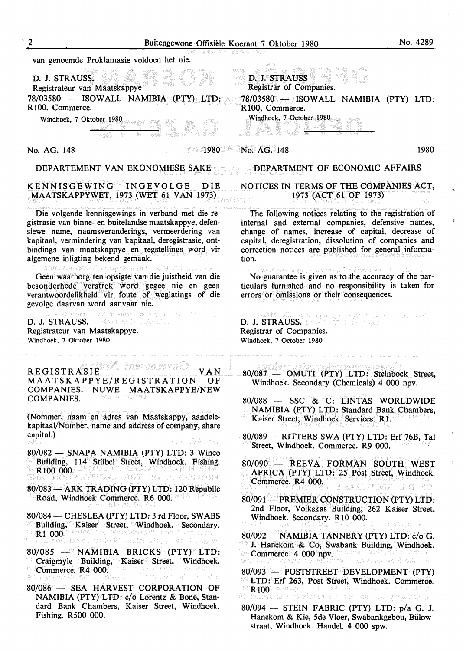|                                                                                                                                                                                                                                                                                                                                                                                                                                                                                                                                                                                                                                                                                                                                                                                                                                                                                                                                                                                         | Buitengewone Offisiële Koerant 7 Oktober 1980 |                                                                                                                                                                                                                                                                                                                                                                                                                                                                                                                                                                                                                                                                                                                                                                                                                                                                                                                                                                                                                                      | No. 4289             |
|-----------------------------------------------------------------------------------------------------------------------------------------------------------------------------------------------------------------------------------------------------------------------------------------------------------------------------------------------------------------------------------------------------------------------------------------------------------------------------------------------------------------------------------------------------------------------------------------------------------------------------------------------------------------------------------------------------------------------------------------------------------------------------------------------------------------------------------------------------------------------------------------------------------------------------------------------------------------------------------------|-----------------------------------------------|--------------------------------------------------------------------------------------------------------------------------------------------------------------------------------------------------------------------------------------------------------------------------------------------------------------------------------------------------------------------------------------------------------------------------------------------------------------------------------------------------------------------------------------------------------------------------------------------------------------------------------------------------------------------------------------------------------------------------------------------------------------------------------------------------------------------------------------------------------------------------------------------------------------------------------------------------------------------------------------------------------------------------------------|----------------------|
| van genoemde Proklamasie voldoen het nie.                                                                                                                                                                                                                                                                                                                                                                                                                                                                                                                                                                                                                                                                                                                                                                                                                                                                                                                                               |                                               |                                                                                                                                                                                                                                                                                                                                                                                                                                                                                                                                                                                                                                                                                                                                                                                                                                                                                                                                                                                                                                      |                      |
| D. J. STRAUSS.<br>Registrateur van Maatskappye<br>78/03580 - ISOWALL NAMIBIA (PTY) LTD:<br>R100, Commerce.                                                                                                                                                                                                                                                                                                                                                                                                                                                                                                                                                                                                                                                                                                                                                                                                                                                                              |                                               | D. J. STRAUSS<br>Registrar of Companies.<br>$78/03580$ - ISOWALL NAMIBIA (PTY) LTD:<br>R100, Commerce.                                                                                                                                                                                                                                                                                                                                                                                                                                                                                                                                                                                                                                                                                                                                                                                                                                                                                                                               |                      |
| Windhoek, 7 Oktober 1980                                                                                                                                                                                                                                                                                                                                                                                                                                                                                                                                                                                                                                                                                                                                                                                                                                                                                                                                                                |                                               | Windhoek, 7 October 1980                                                                                                                                                                                                                                                                                                                                                                                                                                                                                                                                                                                                                                                                                                                                                                                                                                                                                                                                                                                                             |                      |
| No. AG. 148                                                                                                                                                                                                                                                                                                                                                                                                                                                                                                                                                                                                                                                                                                                                                                                                                                                                                                                                                                             |                                               | $\sqrt{1980}$ No. AG. 148                                                                                                                                                                                                                                                                                                                                                                                                                                                                                                                                                                                                                                                                                                                                                                                                                                                                                                                                                                                                            | 1980                 |
| DEPARTEMENT VAN EKONOMIESE SAKE                                                                                                                                                                                                                                                                                                                                                                                                                                                                                                                                                                                                                                                                                                                                                                                                                                                                                                                                                         |                                               | DEPARTMENT OF ECONOMIC AFFAIRS                                                                                                                                                                                                                                                                                                                                                                                                                                                                                                                                                                                                                                                                                                                                                                                                                                                                                                                                                                                                       |                      |
| KENNISGEWING INGEVOLGE<br>MAATSKAPPYWET, 1973 (WET 61 VAN 1973)                                                                                                                                                                                                                                                                                                                                                                                                                                                                                                                                                                                                                                                                                                                                                                                                                                                                                                                         | DIE                                           | NOTICES IN TERMS OF THE COMPANIES ACT,<br>1973 (ACT 61 OF 1973)                                                                                                                                                                                                                                                                                                                                                                                                                                                                                                                                                                                                                                                                                                                                                                                                                                                                                                                                                                      | 4월 :                 |
| Die volgende kennisgewings in verband met die re-<br>gistrasie van binne- en buitelandse maatskappye, defen-<br>siewe name, naamsveranderings, vermeerdering van<br>kapitaal, vermindering van kapitaal, deregistrasie, ont-<br>bindings van maatskappye en regstellings word vir<br>algemene inligting bekend gemaak.                                                                                                                                                                                                                                                                                                                                                                                                                                                                                                                                                                                                                                                                  |                                               | The following notices relating to the registration of<br>internal and external companies, defensive names,<br>change of names, increase of capital, decrease of<br>capital, deregistration, dissolution of companies and<br>correction notices are published for general informa-<br>tion.                                                                                                                                                                                                                                                                                                                                                                                                                                                                                                                                                                                                                                                                                                                                           |                      |
| No. NO. 147 FINE Date in Bespect of Companies which<br>Geen waarborg ten opsigte van die juistheid van die<br>besonderhede verstrek word gegee nie en geen<br>verantwoordelikheid vir foute of weglatings of die<br>gevolge daarvan word aanvaar nie.                                                                                                                                                                                                                                                                                                                                                                                                                                                                                                                                                                                                                                                                                                                                   |                                               | wo. All 117 Vaspeschia Dans man openis van Maar II<br>No guarantee is given as to the accuracy of the par-<br>ticulars furnished and no responsibility is taken for<br>errors or omissions or their consequences.                                                                                                                                                                                                                                                                                                                                                                                                                                                                                                                                                                                                                                                                                                                                                                                                                    |                      |
| the strategate of the annual argument and the right<br>D. J. STRAUSS.<br>- GRRI BA IS LAN LOUI<br>Registrateur van Maatskappye.<br>Windhoek, 7 Oktober 1980                                                                                                                                                                                                                                                                                                                                                                                                                                                                                                                                                                                                                                                                                                                                                                                                                             |                                               | $\beta$ -beem side palavean provening as a state of<br>D. J. STRAUSS. 18 1977; Dec. 1990 require<br>Registrar of Companies.<br>Windhoek, 7 October 1980                                                                                                                                                                                                                                                                                                                                                                                                                                                                                                                                                                                                                                                                                                                                                                                                                                                                              |                      |
| REGISTRASIE<br>MAATSKAPPYE/REGISTRATION OF<br>MAATSKAPPYE/NEW<br>COMPANIES.<br><b>NUWE</b><br>DAIGO DO BOS<br>COMPANIES.<br>(Nommer, naam en adres van Maatskappy, aandele-<br>kapitaal/Number, name and address of company, share<br>capital.)<br>'라운 언<br>80/082 - SNAPA NAMIBIA (PTY) LTD: 3 Winco<br>Building, 114 Stübel Street, Windhoek. Fishing.<br>R <sub>100</sub> 000.<br>PROVISIONE OF THE EGEPTRATION<br>Q 網 光<br>80/083 - ARK TRADING (PTY) LTD: 120 Republic<br>Road, Windhoek Commerce. R6 000.<br>80/084 - CHESLEA (PTY) LTD: 3 rd Floor, SWABS<br>Building, Kaiser Street, Windhoek. Secondary.<br>$\mathbf{R}1$ 000. And the state position of Constraints $\mathbb{R}$<br>West Africa Proclamation 1918 (Proclamation 134 of<br>80/085 - NAMIBIA BRICKS (PTY) LTD:<br>Craigmyle Building, Kaiser Street, Windhoek.<br>ಿ Commerce. R4 000. ಯೂ ಮಾಡಿ ಮಾಡಿದ್ದಾರೆ. ಮಿ<br>1980 at the date fixed in respect of the following exist<br>80/086 - SEA HARVEST CORPORATION OF | V A N<br>TAI JOA BM                           | rnand of the serven samer<br>80/087<br>- OMUTI (PTY) LTD: Steinbock Street,<br>Windhoek. Secondary (Chemicals) 4 000 npv.<br>80/088 - SSC & C: LINTAS WORLDWIDE<br>NAMIBIA (PTY) LTD: Standard Bank Chambers,<br>Kaiser Street, Windhoek. Services. R1.<br>80/089 - RITTERS SWA (PTY) LTD: Erf 76B, Tal<br>Street, Windhoek. Commerce. R9 000.<br>80/090 - REEVA FORMAN SOUTH WEST<br>AFRICA (PTY) LTD: 25 Post Street, Windhoek.<br>Commerce. R4 000.<br>ERACTESER<br>80/091 - PREMIER CONSTRUCTION (PTY) LTD:<br>2nd Floor, Volkskas Building, 262 Kaiser Street,<br>Windhoek. Secondary. R10 000.<br>日本つき3セット<br>80/092 - NAMIBIA TANNERY (PTY) LTD: c/o G.<br>J. Hanekom & Co, Swabank Building, Windhoek.<br><b>Commerce. 4 000 npv.</b> Second to 15 21 and 13<br>am an Sussexable vetkins to defer a monopolitation<br>80/093 - POSTSTREET DEVELOPMENT (PTY)<br><sup>3</sup> LTD: Erf 263, Post Street, Windhoek. Commerce.<br>app $\mathbf{K}_{\mathbf{100}}$ spackies on any adjustment and are $\mathbf{K}_{\mathbf{100}}$ | 김!리 그림이<br>Etsiski K |
| NAMIBIA (PTY) LTD: c/o Lorentz & Bone, Stan-<br>dard Bank Chambers, Kaiser Street, Windhoek.<br>Fishing. R500 000.                                                                                                                                                                                                                                                                                                                                                                                                                                                                                                                                                                                                                                                                                                                                                                                                                                                                      |                                               | masskappy wir die aan die beguings van artikel 29<br>$80/094$ - STEIN FABRIC (PTY) LTD: $p/a$ G. J.<br>Hanekom & Kie, 5de Vloer, Swabankgebou, Bülow-<br>straat, Windhoek. Handel. 4 000 spw.                                                                                                                                                                                                                                                                                                                                                                                                                                                                                                                                                                                                                                                                                                                                                                                                                                        |                      |

 $\tilde{q}$ 

 $\bar{\mathfrak{s}}$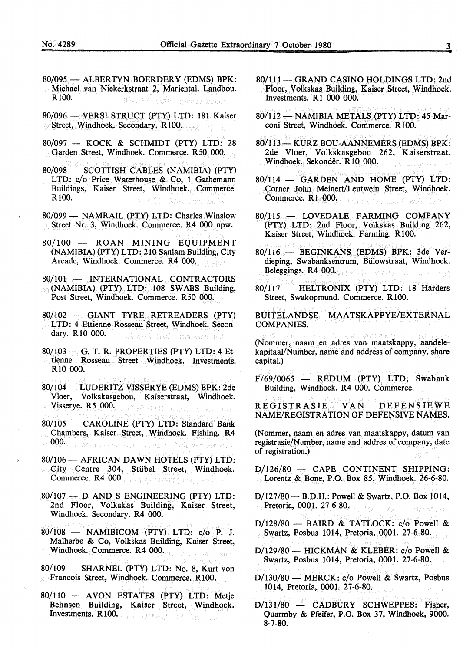- 80/095 ALBERTYN BOERDERY (EDMS) BPK: Michael van Niekerkstraat 2, Mariental. Landbou. RlOO. bhannsburg, 2005–23 7-80.
- 80/096 VERSI STRUCT (PTY) LTD: 181 Kaiser Street, Windhoek. Secondary. R100.
- $80/097$  KOCK & SCHMIDT (PTY) LTD: 28 Garden Street, Windhoek. Commerce. R50 000.
- 80/098 SCOTTISH CABLES (NAMIBIA) (PTY) LTD: c/o Price Waterhouse & Co, 1 Gathemann Buildings, Kaiser Street, Windhoek. Commerce. RlOO. Dal St. Viedhock, 9000
- 80/099 NAMRAIL (PTY) LTD: Charles Winslow Street Nr. 3, Windhoek. Commerce. R4 000 npw.
- 80/100 ROAN MINING EQUIPMENT (NAMIBIA) (PTY) LTD: 210 Sanlam Building, City Arcade, Windhoek. Commerce. R4 000. AN GANDER
- 80/101 INTERNATIONAL CONTRACTORS (NAMIBIA) (PTY) LTD: 108 SW ABS Building, 7sr Post Street, Windhoek. Commerce. R50 000.
- 80/102 GIANT TYRE RETREADERS (PTY) LTD: 4 Ettienne Rosseau Street, Windhoek. Secondary. RlO 000. ORES IS RIGHT and accepted
- 80/103 G. T. R. PROPERTIES (PTY) LTD: 4 Ettienne Rosseau Street Windhoek. Investments. RlO 000.
- 80/104- LUDERITZ VISSERYE (EDMS) BPK: 2de Vloer, Volkskasgebou, Kaiserstraat, Windhoek. Visserye. R5 000. DARA ATTU RUB
- 80/105 CAROLINE (PTY) LTD: Standard Bank Chambers, Kaiser Street, Windhoek. Fishing. R4 000. h. shb bonan wan amor hObiolasd starcq
- 80/106 AFRICAN DAWN HOTELS (PTY) LTD: City Centre 304, Stiibel Street, Windhoek. Commerce. R4 000. **Commerce.** R4 000.
- 80/107 D AND S ENGINEERING (PTY) LTD: 2nd Floor, Volkskas Building, Kaiser Street, Windhoek. Secondary. R4 000.
- 80/108 NAMIBICOM (PTY) LTD: c/o P. J. Malherbe & Co, Volkskas Building, Kaiser Street, Windhoek. Commerce. R4 000.
- 80/109 SHARNEL (PTY) LTD: No. 8, Kurt von Francois Street, Windhoek. Commerce. R100.
- 80/110 AVON ESTATES (PTY) LTD: Metje Behnsen Building, Kaiser Street, Windhoek. Investments. R100.
- 80/111- GRAND CASINO HOLDINGS LTD: 2nd Floor, Volkskas Building, Kaiser Street, Windhoek. Investments. Rl 000 000.
- 80/112 NAMIBIA METALS (PTY) LTD: 45 Marconi Street, Windhoek. Commerce. R 100.
- 80/113- KURZ BOU-AANNEMERS (EDMS) BPK: 2de Vloer, Volkskasgebou 262, Kaiserstraat, Windhoek. Sekondêr. R10 000.
- $80/114$  GARDEN AND HOME (PTY) LTD: Corner John Meinert/Leutwein Street, Windhoek. Commerce. R1.000. Reserve to Section 1000.
- 80/115 LOVEDALE FARMING COMPANY (PTY) LTD: 2nd Floor, Volkskas Building 262, Kaiser Street, Windhoek. Farming. R100.
- 80/116 BEGINKANS (EDMS) BPK: 3de Verdieping, Swabanksentrum, Biilowstraat, Windhoek. Beleggings. R4 000.
- 80/117 HELTRONIX (PTY) LTD: 18 Harders Street, Swakopmund. Commerce. R100.

BUITELANDSE MAATSKAPPYE/EXTERNAL COMPANIES.

a grangear p (Nommer, naam en adres van maatskappy, aandelekapitaal/Number, name and address of company, share capital.)

 $F/69/0065$  - REDUM (PTY) LTD; Swabank Building, Windhoek. R4 000. Commerce.

REGISTRASIE VAN DEFENSIEWE NAME/REGISTRATION OF DEFENSIVE NAMES.

(Nommer, naam en adres van maatskappy, datum van registrasie/Number, name and addres of company, date of registration.)

D/126/80 - CAPE CONTINENT SHIPPING: Lorentz & Bone, P.O. Box 85, Windhoek. 26-6-80.

D/127/80- B.D.H.: Powell & Swartz, P.O. Box 1014, Pretoria, 0001. 27-6-80.  $-080010$ 

 $D/128/80$  - BAIRD & TATLOCK: c/o Powell & Swartz, Posbus 1014, Pretoria, 0001. 27-6-80.

- $D/129/80$  HICKMAN & KLEBER: c/o Powell & Swartz, Posbus 1014, Pretoria, 0001. 27-6-80.
- D/130/80 MERCK: c/o Powell & Swartz, Posbus 1014, Pretoria, 0001. 27-6-80.
- D/131/80 CADBURY SCHWEPPES: Fisher, Quarmby & Pfeifer, P.O. Box 37, Windhoek, 9000. 8-7-80.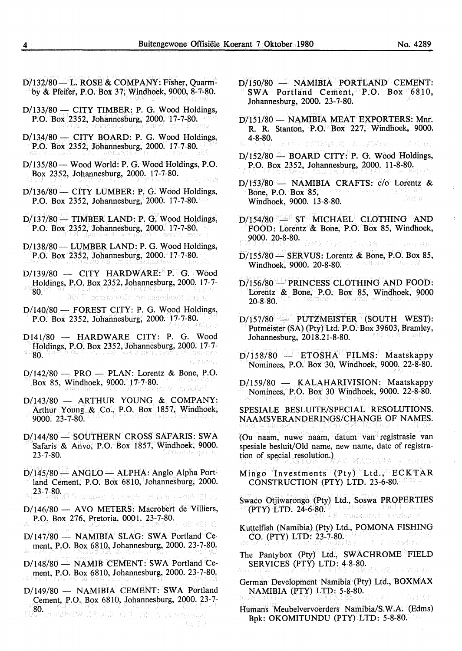- D/132/80- L. ROSE & COMPANY: Fisher, Ouarmby & Pfeifer, P.O. Box 37, Windhoek, 9000, 8-7-80.
- $D/133/80$  CITY TIMBER: P. G. Wood Holdings, P.O. Box 2352, Johannesburg, 2000. 17-7-80.
- $D/134/80$  CITY BOARD: P. G. Wood Holdings, P.O. Box 2352, Johannesburg, 2000. 17-7-80.
- D/135/80 Wood World: P. G. Wood Holdings, P.O. Box 2352, Johannesburg, 2000. 17-7-80.
- D/136/80 CITY LUMBER: P. G. Wood Holdings, P.O. Box 2352, Johannesburg, 2000. 17-7-80.
- $D/137/80$  TIMBER LAND: P. G. Wood Holdings, P.O. Box 2352, Johannesburg, 2000. 17-7-80.
- D/138/80- LUMBER LAND: P. G. Wood Holdings, P.O. Box 2352, Johannesburg, 2000. 17-7-80.
- $D/139/80$  CITY HARDWARE: P. G. Wood Holdings, P.O. Box 2352, Johannesburg, 2000. 17-7- 80. Street, Swakopmund. Commerce. E100.
- D/140/80 FOREST CITY: P. G. Wood Holdings, P.O. Box 2352, Johannesburg, 2000. 17-7-80.
- D141/80 HARDWARE CITY: P. G. Wood Holdings, P.O. Box 2352, Johannesburg, 2000. 17-7- 80.
- $D/142/80$  PRO PLAN: Lorentz & Bone, P.O. Box 85, Windhoek, 9000. 17-7-80.
- D/143/80 ARTHUR YOUNG & COMPANY: Arthur Young & Co., P.O. Box 1857, Windhoek, 9000. 23-7-80.
- D/144/80 SOUTHERN CROSS SAFARIS: SWA Safaris & Anvo, P.O. Box 1857, Windhoek, 9000. 23-7-80.
- $D/145/80$  ANGLO ALPHA: Anglo Alpha Portland Cement, P.O. Box 6810, Johannesburg, 2000. 23-7-80. D. 1914) A The R. D. H. C. Rowell, & Journol
- D/146/80 AVO METERS: Macrobert de Villiers, P.O. Box 276, Pretoria, 0001. 23-7-80.
- $D/147/80$  NAMIBIA SLAG: SWA Portland Cement, P.O. Box 6810, Johannesburg, 2000. 23-7-80.
- D/148/80 NAMIB CEMENT: SWA Portland Cement, P.O. Box 6810, Johannesburg, 2000. 23-7-80.
- D/149/80 NAMIBIA CEMENT: SWA Portland Cement, P.O. Box 6810, Johannesburg, 2000. 23-7- 80. Danishy & Poller, F.O. Box 37, Windhors

08-7-2

- D/150/80 NAMIBIA PORTLAND CEMENT: SWA Portland Cement, P.O. Box 6810. Johannesburg, 2000. 23-7-80.
- D/151/80 NAMIBIA MEAT EXPORTERS: Mnr. R. R. Stanton, P.O. Box 227, Windhoek, 9000. 4-8~80. CONTRACTOR AND SCENE TO A CONTROL OF
- $D/152/80$  BOARD CITY: P. G. Wood Holdings, P.O. Box 2352, Johannesburg, 2000. 11-8-80.
- D/153/80 NAMIBIA CRAFTS: c/o Lorentz & Bone, P.O. Box 85, Windhoek, 9000. 13-8-80.
- $D/154/80$  ST MICHAEL CLOTHING AND FOOD: Lorentz & Bone, P.O. Box 85, Windhoek, 9000. 20-8-80. 5.34  $(1 + 1 + 1)$
- $D/155/80$  SERVUS: Lorentz & Bone, P.O. Box 85, Windhoek, 9000. 20-8-80.
- D/156/80 PRINCESS CLOTHING AND FOOD: Lorentz & Bone, P.O. Box 85, Windhoek, 9000  $20 - 8 - 80$ .
- $D/157/80$  PUTZMEISTER (SOUTH WEST): Putmeister (SA) (Pty) Ltd. P.O. Box 39603, Bramley, Johannesburg, 2018.21-8-80.
- $D/158/80$  ETOSHA FILMS: Maatskappy Nominees, P.O. Box 30, Windhoek, 9000. 22-8-80.
- D/159/80 KALAHARIVISION: Maatskappy Nominees, P.O. Box 30 Windhoek, 9000. 22-8-80.

SPESIALE BESLUITE/SPECIAL RESOLUTIONS. NAAMSVERANDERINGS/CHANGE OF NAMES.

(Ou naam, nuwe naam, datum van registrasie van spesiale besluit/Old name, new name, date of registration of special resolution.) O MADISHA - MUTUA

Mingo Investments (Pty) Ltd., ECKTAR CONSTRUCTION (PTY) LTD. 23-6-80.

Swaco Otjiwarongo (Pty) Ltd., Soswa PROPER TIES (PTY) LTD. 24-6-80. Mudheek Secondan

Kuttelfish (Namibia) (Pty) Ltd., POMONA FISHING CO. (PTY) LTD: 23-7-80.

- The Pantybox (Pty) Ltd., SWACHROME FIELD SERVICES (PTY) LTD: 4-8-80. (2) 单位(代)
- German Development Namibia (Pty) Ltd., BOXMAX NAMIBIA (PTY) LTD: 5-8-80.
- Humans Meubelvervoerders Namibia/S.W.A. (Edms) Bpk: OKOMITUNDU (PTY).LTD: 5-8-80.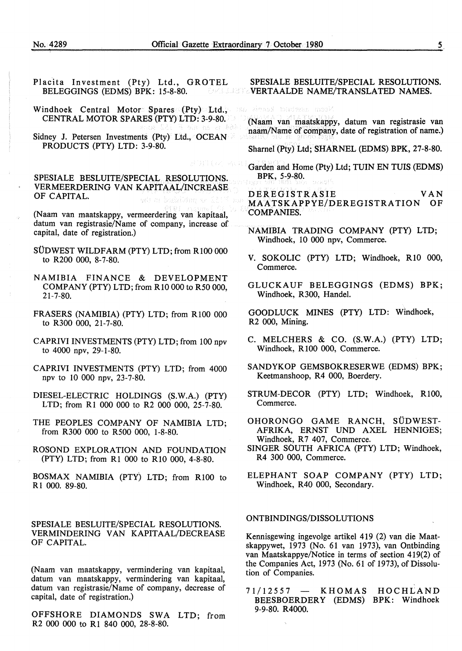- Placita Investment (Pty) Ltd., GROTEL BELEGGINGS (EDMS) BPK: 15-8-80.
- Windhoek Central Motor Spares (Pty) Ltd., CENTRAL MOTOR SPARES (PTY) LTD: 3-9-80.
- Sidney J. Petersen Investments (Pty) Ltd., OCEAN PRODUCTS (PTY) LTD: 3-9-80.

SPESIALE BESLUITE/SPECIAL RESOLUTIONS. VERMEERDERING VAN KAPITAAL/INCREASE OF CAPITAL.

(Naam van maatskappy, vermeerdering van kapitaal, datum van registrasie/Name of company, increase of capital, date of registration.)

- SUDWEST WILDFARM (PTY) LTD; from RlOO 000 to R200 000, 8-7-80.
- NAMIBIA FINANCE & DEVELOPMENT COMPANY (PTY) LTD; from Rl0 000 to R50 000, 21-7-80.
- FRASERS (NAMIBIA) (PTY) LTD; from R100 000 to R300 000, 21-7-80.
- CAPRIVI INVESTMENTS (PTY) LTD; from 100 npv to 4000 npv, 29-1-80.
- CAPRIVI INVESTMENTS (PTY) LTD; from 4000 npv to 10 000 npv, 23-7-80.
- DIESEL-ELECTRIC HOLDINGS (S.W.A.) (PTY) LTD; from Rl 000 000 to R2 000 000, 25-7-80.
- THE PEOPLES COMPANY OF NAMIBIA LTD; from R300 000 to R500 000, 1-8-80.
- ROSOND EXPLORATION AND FOUNDATION (PTY) LTD; from Rl 000 to RIO 000, 4-8-80.
- BOSMAX NAMIBIA (PTY) LTD; from RlOO to R 1 000. 89-80.

SPESIALE BESLUITE/SPECIAL RESOLUTIONS. VERMINDERING VAN KAPITAAL/DECREASE OF CAPITAL.

(Naam van maatskappy, vermindering van kapitaal, datum van maatskappy, vermindering van kapitaal, datum van registrasie/Name of company, decrease of capital, date of registration.)

OFFSHORE DIAMONDS SWA LTD; from R2 000 000 to R1 840 000, 28-8-80.

#### SPESIALE BESLUITE/SPECIAL RESOLUTIONS. WERTAALDE NAME/TRANSLATED NAMES.

tas sinnad toudees mook

(Naam van maatskappy, datum van registrasie van naam/Name of company, date of registration of name.)

Shamel (Pty) Ltd; SHARNEL (EDMS) BPK, 27-8-80.

Garden and Home (Pty) Ltd; TUIN EN TUIS (EDMS) BPK, 5-9-80.

DEREGISTRASIE VAN MAA TSKAPPYE/DEREG ISTRA TION OF COMPANIES.

- NAMIBIA TRADING COMPANY (PTY) LTD; Windhoek, 10 000 npv, Commerce.
- V. SOKOLIC (PTY) LTD; Windhoek, RIO 000, Commerce.
- GLUCKAUF BELEGGINGS (EDMS) BPK; Windhoek, R300, Handel.

GOODLUCK MINES (PTY) LTD: Windhoek, R2 000, Mining.

- C. MELCHERS & CO. (S.W.A.) (PTY) LTD; Windhoek, R 100 000, Commerce.
- SANDYKOP GEMSBOKRESERWE (EDMS) BPK; Keetmanshoop, R4 000, Boerdery.
- STRUM-DECOR (PTY) LTD; Windhoek, RlOO, Commerce.
- OHORONGO GAME RANCH, SUDWEST-AFRIKA, ERNST UND AXEL HENNIGES; Windhoek, R7 407, Commerce.
- SINGER SOUTH AFRICA (PTY) LTD; Windhoek, R4 300 000, Commerce.
- ELEPHANT SOAP COMPANY (PTY) LTD; Windhoek, R40 000, Secondary.

#### ONTBINDINGS/DISSOLUTIONS

Kennisgewing ingevolge artikel 419 (2) van die Maatskappywet, 1973 (No. 61 van 1973), van Ontbinding van Maatskappye/Notice in terms of section 419(2) of the Companies Act, 1973 (No. 61 of 1973), of Dissolution of Companies.

71/12557 - KHOMAS HOCHLAND BEESBOERDERY (EDMS) BPK: Windhoek 9-9-80. R4000.